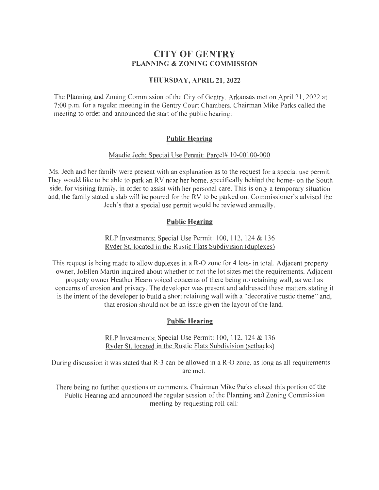# **CITY OF GENTRY PLANNING & ZONING COMMISSION**

### **THURSDAY, APRIL 21,2022**

The Planning and Zoning Commission of the City of Gentry, Arkansas met on April21, 2022 at 7:00 p.m. for a regular meeting in the Gentry Court Chambers. Chairman Mike Parks called the meeting to order and announced the start of the public hearing:

# **Public Hearing**

#### Maudie Jech: Special Use Permit: Parcel# 10-00100-000

Ms. Jech and her family were present with an explanation as to the request for a special use permit. They would like to be able to park an RV near her home, specifically behind the home- on the South side, for visiting family, in order to assist with her personal care. This is only a temporary situation and, the family stated a slab will be poured for the RV to be parked on. Commissioner's advised the Jech 's that a special use permit would be reviewed annually .

# **Public Hearing**

RLP Investments; Special Use Permit: 100, 112, 124 & 136 Ryder St. located in the Rustic Flats Subdivision (duplexes)

This request is being made to allow duplexes in a R-0 zone for 4 lots- in total. Adjacent property owner, JoEllen Martin inquired about whether or not the lot sizes met the requirements. Adjacent property owner Heather Hearn voiced concerns of there being no retaining wall, as well as concerns of erosion and privacy. The developer was present and addressed these matters stating it is the intent of the developer to build a short retaining wall with a "decorative rustic theme" and, that erosion should not be an issue given the layout of the land .

# **Public Hearing**

RLP Investments; Special Use Permit: 100, 112, 124 & 136 Ryder St. located in the Rustic Flats Subdivision (setbacks)

During discussion it was stated that R-3 can be allowed in a R-0 zone, as long as all requirements are met.

There being no further questions or comments, Chairman Mike Parks closed this portion of the Public Hearing and announced the regular session of the Planning and Zoning Commission meeting by requesting roll call: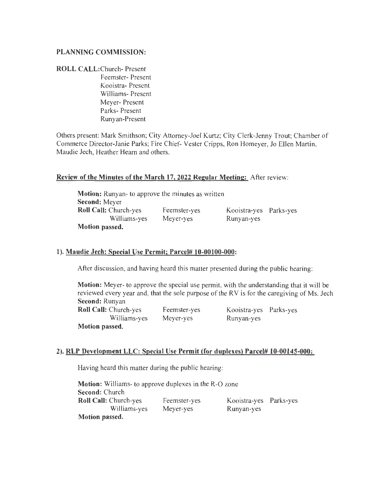#### PLANNING COMMISSION:

#### ROLL CALL:Church- Present

Feemster- Present Kooistra- Present Williams- Present Meyer- Present Parks- Present Runyan-Present

Others present: Mark Smithson; City Attorney-Joel Kurtz; City Clerk-Jenny Trout; Chamber of Commerce Director-Janie Parks; Fire Chief- Vester Cripps, Ron Homeyer, Jo Ellen Martin, Maudie Jech, Heather Hearn and others.

#### Review of the Minutes of the March 17, 2022 Regular Meeting: After review:

| <b>Motion:</b> Runyan- to approve the minutes as written |              |                        |  |
|----------------------------------------------------------|--------------|------------------------|--|
| <b>Second:</b> Meyer                                     |              |                        |  |
| <b>Roll Call: Church-yes</b>                             | Feemster-yes | Kooistra-yes Parks-yes |  |
| Williams-yes                                             | Meyer-yes    | Runyan-yes             |  |
| Motion passed.                                           |              |                        |  |

# 1). Maudie Jech: Special Use Permit; Parcel# 10-00100-000:

After discussion, and having heard this matter presented during the public hearing:

Motion: Meyer- to approve the special use permit, with the understanding that it will be reviewed every year and, that the sole purpose of the RV is for the caregiving of Ms. Jech Second: Runyan

Roll Call: Church-yes Williams-yes Motion passed.

Feemster-yes Meyer-yes

Kooistra-yes Parks-yes Runyan-yes

#### 2). RLP Development LLC: Special Use Permit (for duplexes) Parcel# 10-00145-000:

Having heard this matter during the public hearing:

Motion: Williams- to approve duplexes in the R-0 zone Second: Church Roll Call: Church-yes Williams-yes Motion passed. Feemster-yes Meyer-yes Kooistra-yes Parks-yes Runyan-yes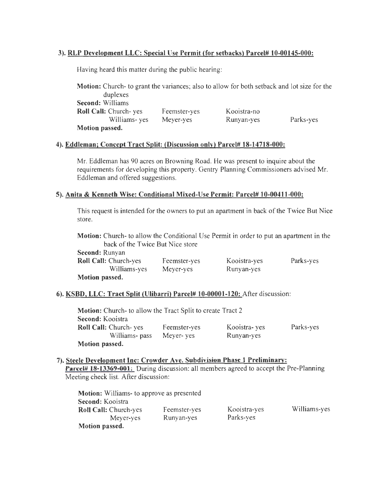#### 3). RLP Development LLC: Special Use Permit (for setbacks) Parcel# 10-00145-000:

Having heard this matter during the public hearing:

Motion: Church- to grant the variances; also to allow for both setback and lot size for the duplexes Second: Williams Roll Call: Church- yes Williams- yes Motion passed. Feemster-yes Meyer-yes Kooistra-no Runyan-yes Parks-yes

#### 4). Eddleman; Concept Tract Split: (Discussion only) Parcel# 18-14718-000:

Mr. Eddleman has 90 acres on Browning Road. He was present to inquire about the requirements for developing this property. Gentry Planning Commissioners advised Mr. Eddleman and offered suggestions.

#### 5). Anita & Kenneth Wise: Conditional Mixed-Use Permit: Parcel# 10-00411-000:

This request is intended for the owners to put an apartment in back of the Twice But Nice store.

Motion: Church- to allow the Conditional Use Permit in order to put an apartment in the back of the Twice But Nice store

| Second: Runyan               |              |              |           |
|------------------------------|--------------|--------------|-----------|
| <b>Roll Call: Church-yes</b> | Feemster-yes | Kooistra-yes | Parks-yes |
| Williams-yes                 | Meyer-yes    | Runyan-yes   |           |
| <b>Motion passed.</b>        |              |              |           |

#### 6). KSBD, LLC: Tract Split (Ulibarri) Parcel# 10-00001-120: After discussion:

Motion: Church- to allow the Tract Split to create Tract 2 Second: Kooistra Roll Call: Church- yes Feemster-yes Williams- pass Meyer- yes Motion passed. Kooistra- yes Runyan-yes Parks-yes

#### 7). Steele Development Inc: Crowder Ave. Subdivision Phase 1 Preliminary:

Parcel# 18-13369-001: During discussion: all members agreed to accept the Pre-Planning Meeting check list. After discussion:

| <b>Motion:</b> Williams- to approve as presented |              |              |              |
|--------------------------------------------------|--------------|--------------|--------------|
| Second: Kooistra                                 |              |              |              |
| <b>Roll Call: Church-yes</b>                     | Feemster-yes | Kooistra-yes | Williams-yes |
| Meyer-yes                                        | Runyan-yes   | Parks-yes    |              |
| Motion passed.                                   |              |              |              |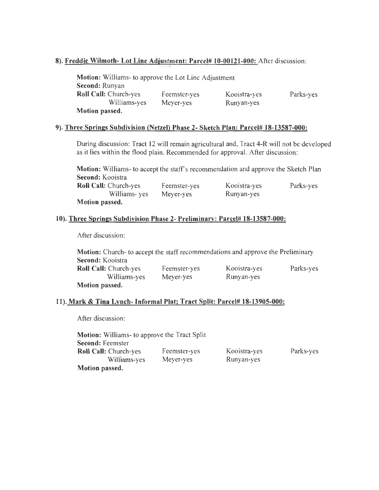#### 8). Freddie Wilmoth- Lot Line Adjustment: Parcel# 10-00121-000: After discussion:

| <b>Motion:</b> Williams- to approve the Lot Line Adjustment |              |              |           |
|-------------------------------------------------------------|--------------|--------------|-----------|
| Second: Runyan                                              |              |              |           |
| <b>Roll Call: Church-yes</b>                                | Feemster-yes | Kooistra-yes | Parks-yes |
| Williams-yes                                                | Meyer-yes    | Runyan-yes   |           |
| <b>Motion passed.</b>                                       |              |              |           |

#### 9). Three Springs Subdivision (Netzel) Phase 2- Sketch Plan: Parcel# 18-13587-000:

During discussion: Tract 12 will remain agricultural and, Tract 4-R will not be developed as it lies within the flood plain. Recommended for approval. After discussion:

Motion: Williams- to accept the staff's recommendation and approve the Sketch Plan Second: Kooistra Roll Call: Church-yes Williams- yes Motion passed. Feemster-yes Meyer-yes Kooistra-yes Runyan-yes Parks-yes

#### 10). Three Springs Subdivision Phase 2- Preliminary: Parcel# 18-13587-000:

After discussion:

| Motion: Church- to accept the staff recommendations and approve the Preliminary |              |              |           |
|---------------------------------------------------------------------------------|--------------|--------------|-----------|
| Second: Kooistra                                                                |              |              |           |
| <b>Roll Call:</b> Church-yes                                                    | Feemster-yes | Kooistra-yes | Parks-yes |
| Williams-yes                                                                    | Meyer-yes    | Runyan-yes   |           |
| Motion passed.                                                                  |              |              |           |

#### 11). Mark & Tina Lynch- Informal Plat; Tract Split: Parcel# 18-13905-000:

After discussion:

| <b>Motion:</b> Williams- to approve the Tract Split |              |              |           |
|-----------------------------------------------------|--------------|--------------|-----------|
| <b>Second: Feemster</b>                             |              |              |           |
| <b>Roll Call:</b> Church-yes                        | Feemster-yes | Kooistra-yes | Parks-yes |
| Williams-yes                                        | Meyer-yes    | Runyan-yes   |           |
| Motion passed.                                      |              |              |           |